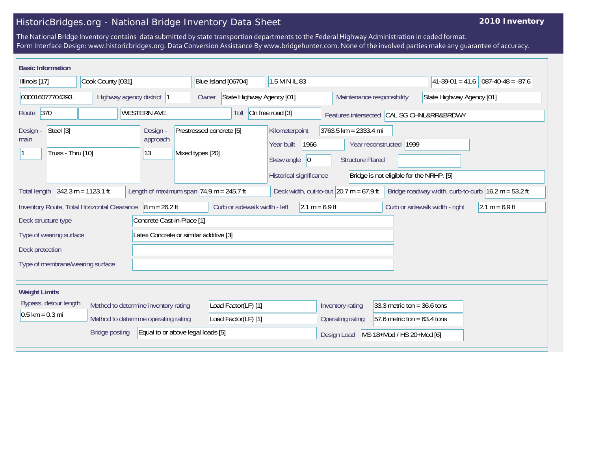## HistoricBridges.org - National Bridge Inventory Data Sheet

## **2010 Inventory**

The National Bridge Inventory contains data submitted by state transportion departments to the Federal Highway Administration in coded format. Form Interface Design: www.historicbridges.org. Data Conversion Assistance By www.bridgehunter.com. None of the involved parties make any guarantee of accuracy.

| <b>Basic Information</b>                                   |                                                                              |                                                             |                                              |                                                                                      |                                                                          |                                                                |                                                       |
|------------------------------------------------------------|------------------------------------------------------------------------------|-------------------------------------------------------------|----------------------------------------------|--------------------------------------------------------------------------------------|--------------------------------------------------------------------------|----------------------------------------------------------------|-------------------------------------------------------|
| Cook County [031]<br>Illinois [17]                         |                                                                              |                                                             | 1.5 M N IL 83<br>Blue Island [06704]         |                                                                                      |                                                                          |                                                                | $ 41-39-01 = 41.6$ 087-40-48 = -87.6                  |
| 000016077704393<br>Highway agency district  1              |                                                                              |                                                             | State Highway Agency [01]<br>Owner           |                                                                                      |                                                                          | State Highway Agency [01]<br>Maintenance responsibility        |                                                       |
| 370<br>Route                                               |                                                                              | <b>WESTERN AVE</b>                                          | Toll                                         | On free road [3]<br>Features intersected CAL SG CHNL&RR&BRDWY                        |                                                                          |                                                                |                                                       |
| Steel [3]<br>Design -<br>main<br>Truss - Thru [10]         |                                                                              | Design -<br>approach<br> 13                                 | Prestressed concrete [5]<br>Mixed types [20] | Kilometerpoint<br>1966<br>Year built<br>Skew angle<br> 0 <br>Historical significance | $3763.5$ km = 2333.4 mi<br>Year reconstructed<br><b>Structure Flared</b> | 1999<br>Bridge is not eligible for the NRHP. [5]               |                                                       |
| <b>Total length</b>                                        | $342.3 m = 1123.1 ft$                                                        | Length of maximum span $ 74.9 \text{ m} = 245.7 \text{ ft}$ |                                              | Deck width, out-to-out $20.7$ m = 67.9 ft                                            |                                                                          |                                                                | Bridge roadway width, curb-to-curb $16.2 m = 53.2 ft$ |
| Deck structure type                                        | Inventory Route, Total Horizontal Clearance                                  | $8 m = 26.2 ft$<br>Concrete Cast-in-Place [1]               | Curb or sidewalk width - left                | $2.1 m = 6.9 ft$                                                                     |                                                                          | Curb or sidewalk width - right                                 | $2.1 m = 6.9 ft$                                      |
| Type of wearing surface<br>Deck protection                 |                                                                              | Latex Concrete or similar additive [3]                      |                                              |                                                                                      |                                                                          |                                                                |                                                       |
| Type of membrane/wearing surface                           |                                                                              |                                                             |                                              |                                                                                      |                                                                          |                                                                |                                                       |
| <b>Weight Limits</b>                                       |                                                                              |                                                             |                                              |                                                                                      |                                                                          |                                                                |                                                       |
| Bypass, detour length<br>$0.5$ km = 0.3 mi                 | Method to determine inventory rating<br>Method to determine operating rating |                                                             | Load Factor(LF) [1]<br>Load Factor(LF) [1]   |                                                                                      | Inventory rating<br>Operating rating                                     | 33.3 metric ton = $36.6$ tons<br>57.6 metric ton = $63.4$ tons |                                                       |
| Equal to or above legal loads [5]<br><b>Bridge posting</b> |                                                                              |                                                             |                                              |                                                                                      | Design Load                                                              | MS 18+Mod / HS 20+Mod [6]                                      |                                                       |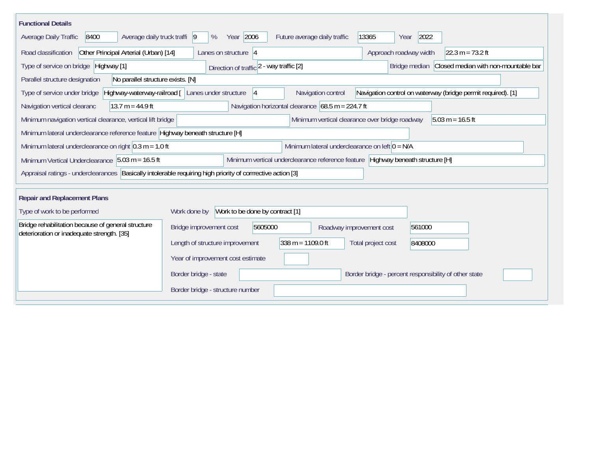| <b>Functional Details</b>                                                                                   |                                                                                                                                               |  |  |  |  |
|-------------------------------------------------------------------------------------------------------------|-----------------------------------------------------------------------------------------------------------------------------------------------|--|--|--|--|
| Average daily truck traffi  9<br>Average Daily Traffic<br>8400                                              | Year 2006<br>13365<br>2022<br>%<br>Future average daily traffic<br>Year                                                                       |  |  |  |  |
| Other Principal Arterial (Urban) [14]<br>Road classification                                                | $22.3 m = 73.2 ft$<br>Lanes on structure $ 4 $<br>Approach roadway width                                                                      |  |  |  |  |
| Type of service on bridge Highway [1]                                                                       | Bridge median Closed median with non-mountable bar<br>Direction of traffic 2 - way traffic [2]                                                |  |  |  |  |
| No parallel structure exists. [N]<br>Parallel structure designation                                         |                                                                                                                                               |  |  |  |  |
| Type of service under bridge                                                                                | Highway-waterway-railroad [ Lanes under structure<br>Navigation control<br>Navigation control on waterway (bridge permit required). [1]<br> 4 |  |  |  |  |
| Navigation vertical clearanc<br>$13.7 m = 44.9 ft$                                                          | Navigation horizontal clearance $68.5 \text{ m} = 224.7 \text{ ft}$                                                                           |  |  |  |  |
| Minimum navigation vertical clearance, vertical lift bridge                                                 | Minimum vertical clearance over bridge roadway<br>$5.03 m = 16.5 ft$                                                                          |  |  |  |  |
| Minimum lateral underclearance reference feature Highway beneath structure [H]                              |                                                                                                                                               |  |  |  |  |
| Minimum lateral underclearance on right $0.3$ m = 1.0 ft                                                    | Minimum lateral underclearance on left $0 = N/A$                                                                                              |  |  |  |  |
| Minimum Vertical Underclearance 5.03 m = 16.5 ft                                                            | Minimum vertical underclearance reference feature Highway beneath structure [H]                                                               |  |  |  |  |
| Appraisal ratings - underclearances Basically intolerable requiring high priority of corrrective action [3] |                                                                                                                                               |  |  |  |  |
|                                                                                                             |                                                                                                                                               |  |  |  |  |
| <b>Repair and Replacement Plans</b>                                                                         |                                                                                                                                               |  |  |  |  |
| Type of work to be performed                                                                                | Work to be done by contract [1]<br>Work done by                                                                                               |  |  |  |  |
| Bridge rehabilitation because of general structure<br>deterioration or inadequate strength. [35]            | 5605000<br>Bridge improvement cost<br>561000<br>Roadway improvement cost                                                                      |  |  |  |  |
|                                                                                                             | $338 m = 1109.0 ft$<br>Length of structure improvement<br>Total project cost<br>8408000                                                       |  |  |  |  |
|                                                                                                             | Year of improvement cost estimate                                                                                                             |  |  |  |  |
|                                                                                                             | Border bridge - state<br>Border bridge - percent responsibility of other state                                                                |  |  |  |  |
|                                                                                                             | Border bridge - structure number                                                                                                              |  |  |  |  |